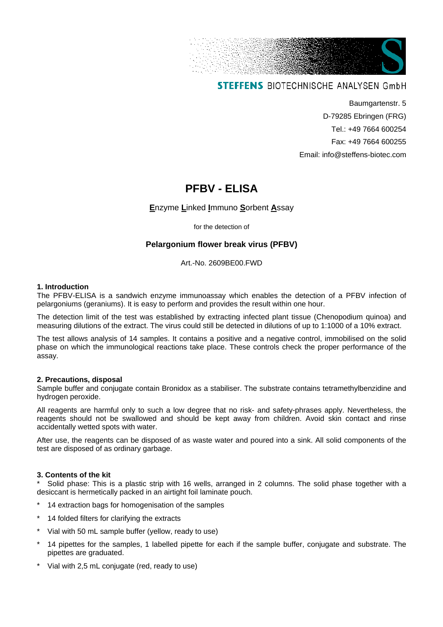

# **STEFFENS BIOTECHNISCHE ANALYSEN GmbH**

Baumgartenstr. 5 D-79285 Ebringen (FRG) Tel.: +49 7664 600254 Fax: +49 7664 600255 Email: info@steffens-biotec.com

# **PFBV - ELISA**

# **E**nzyme **L**inked **I**mmuno **S**orbent **A**ssay

for the detection of

# **Pelargonium flower break virus (PFBV)**

Art.-No. 2609BE00.FWD

#### **1. Introduction**

The PFBV-ELISA is a sandwich enzyme immunoassay which enables the detection of a PFBV infection of pelargoniums (geraniums). It is easy to perform and provides the result within one hour.

The detection limit of the test was established by extracting infected plant tissue (Chenopodium quinoa) and measuring dilutions of the extract. The virus could still be detected in dilutions of up to 1:1000 of a 10% extract.

The test allows analysis of 14 samples. It contains a positive and a negative control, immobilised on the solid phase on which the immunological reactions take place. These controls check the proper performance of the assay.

#### **2. Precautions, disposal**

Sample buffer and conjugate contain Bronidox as a stabiliser. The substrate contains tetramethylbenzidine and hydrogen peroxide.

All reagents are harmful only to such a low degree that no risk- and safety-phrases apply. Nevertheless, the reagents should not be swallowed and should be kept away from children. Avoid skin contact and rinse accidentally wetted spots with water.

After use, the reagents can be disposed of as waste water and poured into a sink. All solid components of the test are disposed of as ordinary garbage.

### **3. Contents of the kit**

Solid phase: This is a plastic strip with 16 wells, arranged in 2 columns. The solid phase together with a desiccant is hermetically packed in an airtight foil laminate pouch.

- 14 extraction bags for homogenisation of the samples
- 14 folded filters for clarifying the extracts
- Vial with 50 mL sample buffer (yellow, ready to use)
- 14 pipettes for the samples, 1 labelled pipette for each if the sample buffer, conjugate and substrate. The pipettes are graduated.
- Vial with 2,5 mL conjugate (red, ready to use)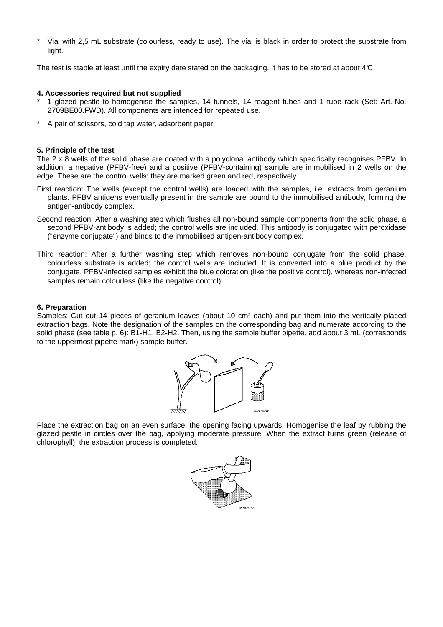Vial with 2,5 mL substrate (colourless, ready to use). The vial is black in order to protect the substrate from light.

The test is stable at least until the expiry date stated on the packaging. It has to be stored at about 4°C.

#### **4. Accessories required but not supplied**

- \* 1 glazed pestle to homogenise the samples, 14 funnels, 14 reagent tubes and 1 tube rack (Set: Art.-No. 2709BE00.FWD). All components are intended for repeated use.
- A pair of scissors, cold tap water, adsorbent paper

#### **5. Principle of the test**

The 2 x 8 wells of the solid phase are coated with a polyclonal antibody which specifically recognises PFBV. In addition, a negative (PFBV-free) and a positive (PFBV-containing) sample are immobilised in 2 wells on the edge. These are the control wells; they are marked green and red, respectively.

- First reaction: The wells (except the control wells) are loaded with the samples, i.e. extracts from geranium plants. PFBV antigens eventually present in the sample are bound to the immobilised antibody, forming the antigen-antibody complex.
- Second reaction: After a washing step which flushes all non-bound sample components from the solid phase, a second PFBV-antibody is added; the control wells are included. This antibody is conjugated with peroxidase ("enzyme conjugate") and binds to the immobilised antigen-antibody complex.
- Third reaction: After a further washing step which removes non-bound conjugate from the solid phase, colourless substrate is added; the control wells are included. It is converted into a blue product by the conjugate. PFBV-infected samples exhibit the blue coloration (like the positive control), whereas non-infected samples remain colourless (like the negative control).

#### **6. Preparation**

Samples: Cut out 14 pieces of geranium leaves (about 10 cm² each) and put them into the vertically placed extraction bags. Note the designation of the samples on the corresponding bag and numerate according to the solid phase (see table p. 6): B1-H1, B2-H2. Then, using the sample buffer pipette, add about 3 mL (corresponds to the uppermost pipette mark) sample buffer.



Place the extraction bag on an even surface, the opening facing upwards. Homogenise the leaf by rubbing the glazed pestle in circles over the bag, applying moderate pressure. When the extract turns green (release of chlorophyll), the extraction process is completed.

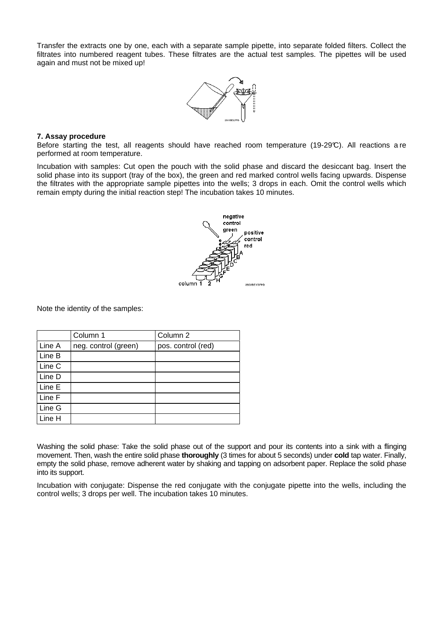Transfer the extracts one by one, each with a separate sample pipette, into separate folded filters. Collect the filtrates into numbered reagent tubes. These filtrates are the actual test samples. The pipettes will be used again and must not be mixed up!



#### **7. Assay procedure**

Before starting the test, all reagents should have reached room temperature (19-29°C). All reactions a re performed at room temperature.

Incubation with samples: Cut open the pouch with the solid phase and discard the desiccant bag. Insert the solid phase into its support (tray of the box), the green and red marked control wells facing upwards. Dispense the filtrates with the appropriate sample pipettes into the wells; 3 drops in each. Omit the control wells which remain empty during the initial reaction step! The incubation takes 10 minutes.



Note the identity of the samples:

|        | Column 1             | Column 2           |
|--------|----------------------|--------------------|
| Line A | neg. control (green) | pos. control (red) |
| Line B |                      |                    |
| Line C |                      |                    |
| Line D |                      |                    |
| Line E |                      |                    |
| Line F |                      |                    |
| Line G |                      |                    |
| Line H |                      |                    |

Washing the solid phase: Take the solid phase out of the support and pour its contents into a sink with a flinging movement. Then, wash the entire solid phase **thoroughly** (3 times for about 5 seconds) under **cold** tap water. Finally, empty the solid phase, remove adherent water by shaking and tapping on adsorbent paper. Replace the solid phase into its support.

Incubation with conjugate: Dispense the red conjugate with the conjugate pipette into the wells, including the control wells; 3 drops per well. The incubation takes 10 minutes.